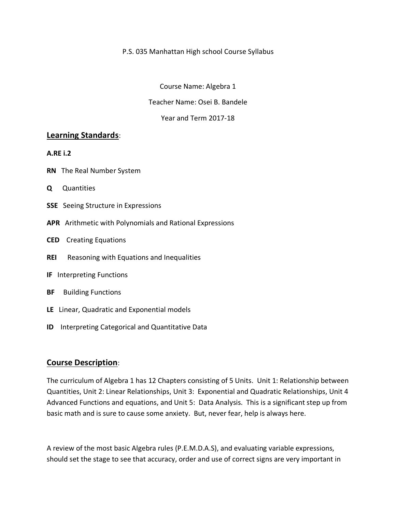#### P.S. 035 Manhattan High school Course Syllabus

Course Name: Algebra 1

Teacher Name: Osei B. Bandele

#### Year and Term 2017-18

### **Learning Standards**:

#### **A.RE i.2**

- **RN** The Real Number System
- **Q** Quantities
- **SSE** Seeing Structure in Expressions
- **APR** Arithmetic with Polynomials and Rational Expressions
- **CED** Creating Equations
- **REI** Reasoning with Equations and Inequalities
- **IF** Interpreting Functions
- **BF** Building Functions
- **LE** Linear, Quadratic and Exponential models
- **ID** Interpreting Categorical and Quantitative Data

### **Course Description**:

The curriculum of Algebra 1 has 12 Chapters consisting of 5 Units. Unit 1: Relationship between Quantities, Unit 2: Linear Relationships, Unit 3: Exponential and Quadratic Relationships, Unit 4 Advanced Functions and equations, and Unit 5: Data Analysis. This is a significant step up from basic math and is sure to cause some anxiety. But, never fear, help is always here.

A review of the most basic Algebra rules (P.E.M.D.A.S), and evaluating variable expressions, should set the stage to see that accuracy, order and use of correct signs are very important in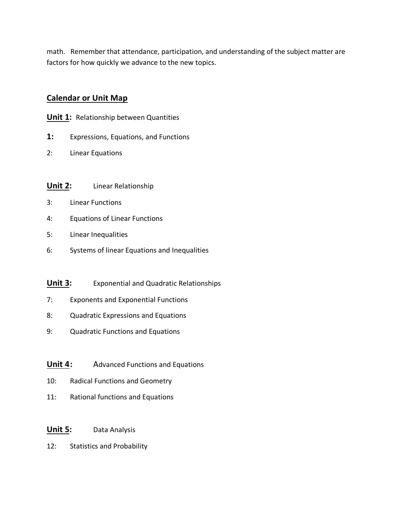math. Remember that attendance, participation, and understanding of the subject matter are factors for how quickly we advance to the new topics.

### **Calendar or Unit Map**

- **Unit 1:** Relationship between Quantities
- **1:** Expressions, Equations, and Functions
- 2: Linear Equations

### **Unit 2:** Linear Relationship

- 3: Linear Functions
- 4: Equations of Linear Functions
- 5: Linear Inequalities
- 6: Systems of linear Equations and Inequalities
- **Unit 3:** Exponential and Quadratic Relationships
- 7: Exponents and Exponential Functions
- 8: Quadratic Expressions and Equations
- 9: Quadratic Functions and Equations
- **Unit 4:** Advanced Functions and Equations
- 10: Radical Functions and Geometry
- 11: Rational functions and Equations

## **Unit 5:** Data Analysis

12: Statistics and Probability